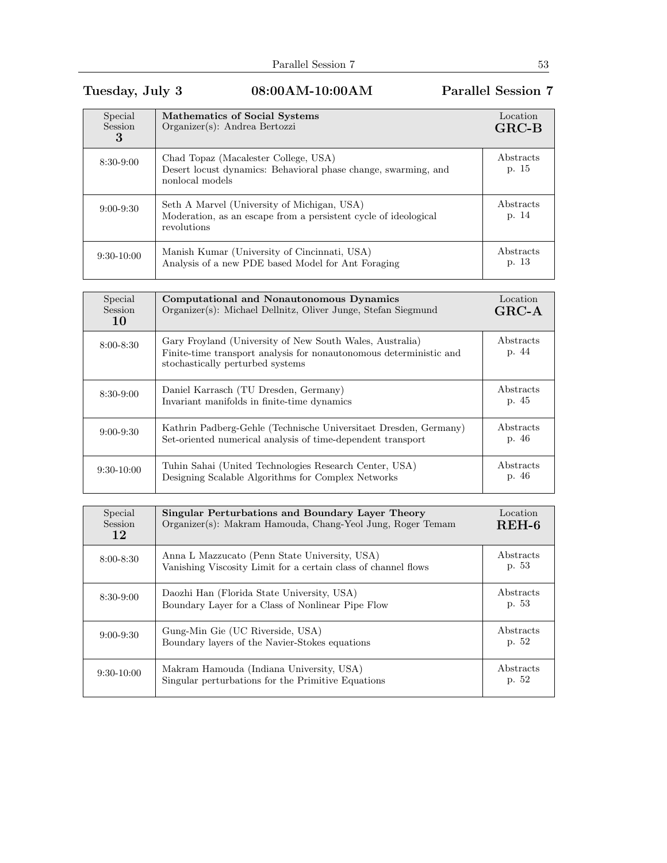## Tuesday, July 3 08:00AM-10:00AM Parallel Session 7

| Special<br>Session<br>3 | <b>Mathematics of Social Systems</b><br>$Organizer(s)$ : Andrea Bertozzi                                                      | Location<br>$GRC-B$ |
|-------------------------|-------------------------------------------------------------------------------------------------------------------------------|---------------------|
| $8:30-9:00$             | Chad Topaz (Macalester College, USA)<br>Desert locust dynamics: Behavioral phase change, swarming, and<br>nonlocal models     | Abstracts<br>p. 15  |
| $9:00 - 9:30$           | Seth A Marvel (University of Michigan, USA)<br>Moderation, as an escape from a persistent cycle of ideological<br>revolutions | Abstracts<br>p. 14  |
| $9:30-10:00$            | Manish Kumar (University of Cincinnati, USA)<br>Analysis of a new PDE based Model for Ant Foraging                            | Abstracts<br>p. 13  |

| Special<br>Session<br>10 | Computational and Nonautonomous Dynamics<br>Organizer(s): Michael Dellnitz, Oliver Junge, Stefan Siegmund                                                          | Location<br>$GRC-A$ |
|--------------------------|--------------------------------------------------------------------------------------------------------------------------------------------------------------------|---------------------|
| $8:00 - 8:30$            | Gary Froyland (University of New South Wales, Australia)<br>Finite-time transport analysis for nonautonomous deterministic and<br>stochastically perturbed systems | Abstracts<br>p. 44  |
| $8:30-9:00$              | Daniel Karrasch (TU Dresden, Germany)<br>Invariant manifolds in finite-time dynamics                                                                               | Abstracts<br>p. 45  |
| $9:00-9:30$              | Kathrin Padberg-Gehle (Technische Universitaet Dresden, Germany)<br>Set-oriented numerical analysis of time-dependent transport                                    | Abstracts<br>p. 46  |
| $9:30-10:00$             | Tuhin Sahai (United Technologies Research Center, USA)<br>Designing Scalable Algorithms for Complex Networks                                                       | Abstracts<br>p. 46  |

| Special<br><b>Session</b><br>12 | Singular Perturbations and Boundary Layer Theory<br>Organizer(s): Makram Hamouda, Chang-Yeol Jung, Roger Temam  | Location<br>$REH-6$ |
|---------------------------------|-----------------------------------------------------------------------------------------------------------------|---------------------|
| $8:00 - 8:30$                   | Anna L Mazzucato (Penn State University, USA)<br>Vanishing Viscosity Limit for a certain class of channel flows | Abstracts<br>p. 53  |
| $8:30-9:00$                     | Daozhi Han (Florida State University, USA)<br>Boundary Layer for a Class of Nonlinear Pipe Flow                 | Abstracts<br>p. 53  |
| $9:00 - 9:30$                   | Gung-Min Gie (UC Riverside, USA)<br>Boundary layers of the Navier-Stokes equations                              | Abstracts<br>p. 52  |
| $9:30-10:00$                    | Makram Hamouda (Indiana University, USA)<br>Singular perturbations for the Primitive Equations                  | Abstracts<br>p. 52  |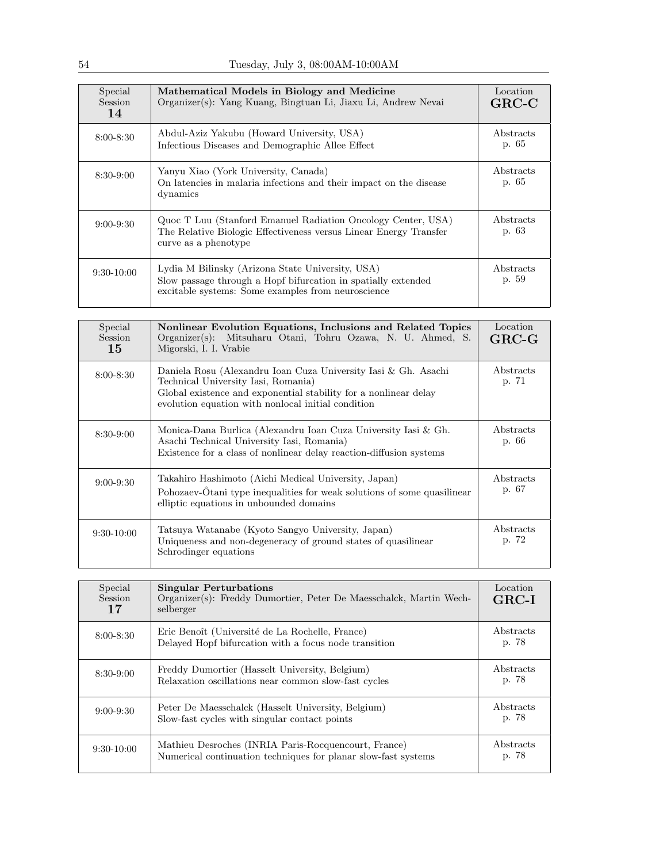| Special<br>Session<br>14 | Mathematical Models in Biology and Medicine<br>Organizer(s): Yang Kuang, Bingtuan Li, Jiaxu Li, Andrew Nevai                                                            | Location<br>$GRC-C$ |
|--------------------------|-------------------------------------------------------------------------------------------------------------------------------------------------------------------------|---------------------|
| $8:00 - 8:30$            | Abdul-Aziz Yakubu (Howard University, USA)<br>Infectious Diseases and Demographic Allee Effect                                                                          | Abstracts<br>p. 65  |
| $8:30-9:00$              | Yanyu Xiao (York University, Canada)<br>On latencies in malaria infections and their impact on the disease<br>dynamics                                                  | Abstracts<br>p. 65  |
| $9:00 - 9:30$            | Quoc T Luu (Stanford Emanuel Radiation Oncology Center, USA)<br>The Relative Biologic Effectiveness versus Linear Energy Transfer<br>curve as a phenotype               | Abstracts<br>p. 63  |
| $9:30-10:00$             | Lydia M Bilinsky (Arizona State University, USA)<br>Slow passage through a Hopf bifurcation in spatially extended<br>excitable systems: Some examples from neuroscience | Abstracts<br>p. 59  |

| Special<br>Session<br>15 | Nonlinear Evolution Equations, Inclusions and Related Topics<br>Organizer(s): Mitsuharu Otani, Tohru Ozawa, N. U. Ahmed, S.<br>Migorski, I. I. Vrabie                                                                           | Location<br>$GRC-G$ |
|--------------------------|---------------------------------------------------------------------------------------------------------------------------------------------------------------------------------------------------------------------------------|---------------------|
| $8:00 - 8:30$            | Daniela Rosu (Alexandru Ioan Cuza University Iasi & Gh. Asachi<br>Technical University Iasi, Romania)<br>Global existence and exponential stability for a nonlinear delay<br>evolution equation with nonlocal initial condition | Abstracts<br>p. 71  |
| $8:30-9:00$              | Monica-Dana Burlica (Alexandru Ioan Cuza University Iasi & Gh.<br>Asachi Technical University Iasi, Romania)<br>Existence for a class of nonlinear delay reaction-diffusion systems                                             | Abstracts<br>p. 66  |
| $9:00 - 9:30$            | Takahiro Hashimoto (Aichi Medical University, Japan)<br>Pohozaev- $\hat{O}$ tani type inequalities for weak solutions of some quasilinear<br>elliptic equations in unbounded domains                                            | Abstracts<br>p. 67  |
| $9:30-10:00$             | Tatsuya Watanabe (Kyoto Sangyo University, Japan)<br>Uniqueness and non-degeneracy of ground states of quasilinear<br>Schrodinger equations                                                                                     | Abstracts<br>p. 72  |

| Special<br><b>Session</b><br>17 | <b>Singular Perturbations</b><br>Organizer(s): Freddy Dumortier, Peter De Maesschalck, Martin Wech-<br>selberger       | Location<br>$GRC-I$ |
|---------------------------------|------------------------------------------------------------------------------------------------------------------------|---------------------|
| $8:00 - 8:30$                   | Eric Benoît (Université de La Rochelle, France)<br>Delayed Hopf bifurcation with a focus node transition               | Abstracts<br>p. 78  |
| $8:30-9:00$                     | Freddy Dumortier (Hasselt University, Belgium)<br>Relaxation oscillations near common slow-fast cycles                 | Abstracts<br>p. 78  |
| $9:00 - 9:30$                   | Peter De Maesschalck (Hasselt University, Belgium)<br>Slow-fast cycles with singular contact points                    | Abstracts<br>p. 78  |
| $9:30-10:00$                    | Mathieu Desroches (INRIA Paris-Rocquencourt, France)<br>Numerical continuation techniques for planar slow-fast systems | Abstracts<br>p. 78  |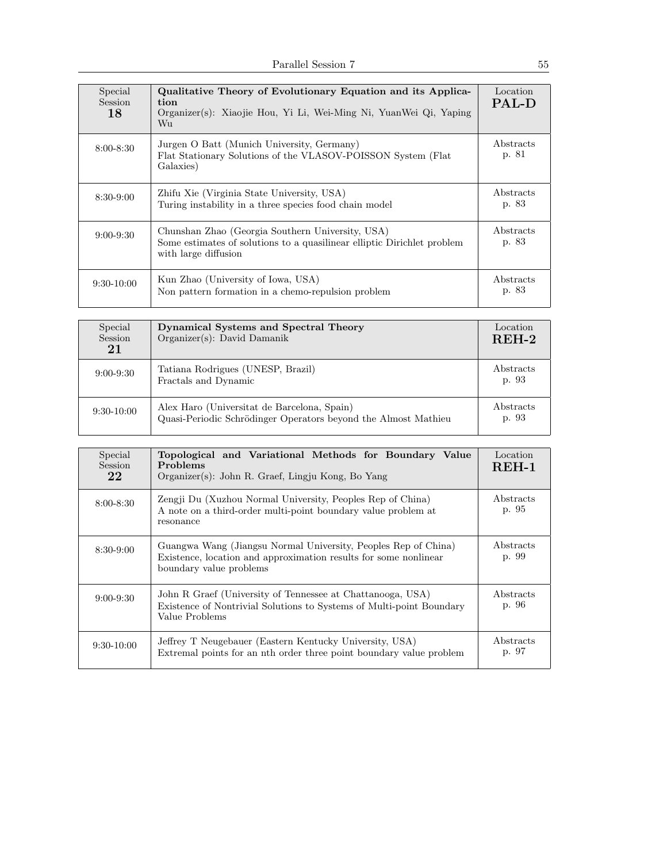| Special<br><b>Session</b><br>18 | Qualitative Theory of Evolutionary Equation and its Applica-<br>tion<br>Organizer(s): Xiaojie Hou, Yi Li, Wei-Ming Ni, YuanWei Qi, Yaping<br>Wu.    | Location<br><b>PAL-D</b> |
|---------------------------------|-----------------------------------------------------------------------------------------------------------------------------------------------------|--------------------------|
| $8:00 - 8:30$                   | Jurgen O Batt (Munich University, Germany)<br>Flat Stationary Solutions of the VLASOV-POISSON System (Flat<br>Galaxies)                             | Abstracts<br>p. 81       |
| $8:30-9:00$                     | Zhifu Xie (Virginia State University, USA)<br>Turing instability in a three species food chain model                                                | Abstracts<br>p. 83       |
| $9:00 - 9:30$                   | Chunshan Zhao (Georgia Southern University, USA)<br>Some estimates of solutions to a quasilinear elliptic Dirichlet problem<br>with large diffusion | Abstracts<br>p. 83       |
| $9:30-10:00$                    | Kun Zhao (University of Iowa, USA)<br>Non pattern formation in a chemo-repulsion problem                                                            | Abstracts<br>p. 83       |

| Special<br>Session<br>21 | Dynamical Systems and Spectral Theory<br>$Organizer(s)$ : David Damanik                                       | Location<br>$REH-2$ |
|--------------------------|---------------------------------------------------------------------------------------------------------------|---------------------|
| $9:00 - 9:30$            | Tatiana Rodrigues (UNESP, Brazil)<br>Fractals and Dynamic                                                     | Abstracts<br>p. 93  |
| $9:30-10:00$             | Alex Haro (Universitat de Barcelona, Spain)<br>Quasi-Periodic Schrödinger Operators beyond the Almost Mathieu | Abstracts<br>p. 93  |

| Special<br><b>Session</b><br>22 | Topological and Variational Methods for Boundary Value<br>Problems<br>Organizer(s): John R. Graef, Lingju Kong, Bo Yang                                       | Location<br>$REH-1$ |
|---------------------------------|---------------------------------------------------------------------------------------------------------------------------------------------------------------|---------------------|
| $8:00 - 8:30$                   | Zengji Du (Xuzhou Normal University, Peoples Rep of China)<br>A note on a third-order multi-point boundary value problem at<br>resonance                      | Abstracts<br>p. 95  |
| $8:30-9:00$                     | Guangwa Wang (Jiangsu Normal University, Peoples Rep of China)<br>Existence, location and approximation results for some nonlinear<br>boundary value problems | Abstracts<br>p. 99  |
| $9:00 - 9:30$                   | John R Graef (University of Tennessee at Chattanooga, USA)<br>Existence of Nontrivial Solutions to Systems of Multi-point Boundary<br>Value Problems          | Abstracts<br>p. 96  |
| $9:30-10:00$                    | Jeffrey T Neugebauer (Eastern Kentucky University, USA)<br>Extremal points for an nth order three point boundary value problem                                | Abstracts<br>p. 97  |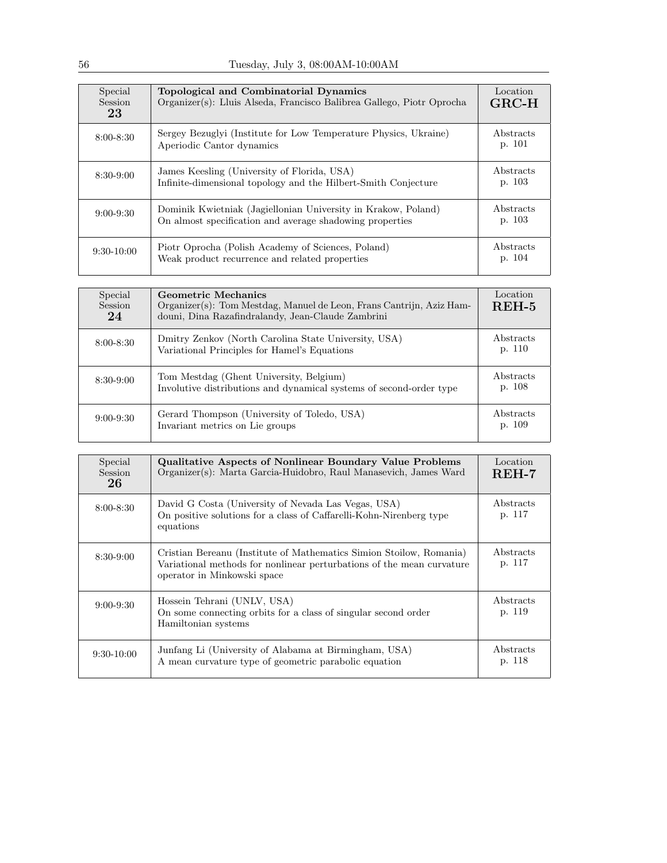| Special<br>Session<br>23 | Topological and Combinatorial Dynamics<br>Organizer(s): Lluis Alseda, Francisco Balibrea Gallego, Piotr Oprocha           | Location<br>$GRC-H$ |
|--------------------------|---------------------------------------------------------------------------------------------------------------------------|---------------------|
| $8:00 - 8:30$            | Sergey Bezuglyi (Institute for Low Temperature Physics, Ukraine)<br>Aperiodic Cantor dynamics                             | Abstracts<br>p. 101 |
| $8:30-9:00$              | James Keesling (University of Florida, USA)<br>Infinite-dimensional topology and the Hilbert-Smith Conjecture             | Abstracts<br>p. 103 |
| $9:00 - 9:30$            | Dominik Kwietniak (Jagiellonian University in Krakow, Poland)<br>On almost specification and average shadowing properties | Abstracts<br>p. 103 |
| $9:30-10:00$             | Piotr Oprocha (Polish Academy of Sciences, Poland)<br>Weak product recurrence and related properties                      | Abstracts<br>p. 104 |

| Special<br><b>Session</b><br>24 | Geometric Mechanics<br>Organizer(s): Tom Mestdag, Manuel de Leon, Frans Cantrijn, Aziz Ham-<br>douni, Dina Razafindralandy, Jean-Claude Zambrini | Location<br>$REH-5$ |
|---------------------------------|--------------------------------------------------------------------------------------------------------------------------------------------------|---------------------|
| $8:00 - 8:30$                   | Dmitry Zenkov (North Carolina State University, USA)<br>Variational Principles for Hamel's Equations                                             | Abstracts<br>p. 110 |
| 8:30-9:00                       | Tom Mestdag (Ghent University, Belgium)<br>Involutive distributions and dynamical systems of second-order type                                   | Abstracts<br>p. 108 |
| $9:00 - 9:30$                   | Gerard Thompson (University of Toledo, USA)<br>Invariant metrics on Lie groups                                                                   | Abstracts<br>p. 109 |

| Special<br><b>Session</b><br>26 | <b>Qualitative Aspects of Nonlinear Boundary Value Problems</b><br>Organizer(s): Marta Garcia-Huidobro, Raul Manasevich, James Ward                                         | Location<br>$REH-7$ |
|---------------------------------|-----------------------------------------------------------------------------------------------------------------------------------------------------------------------------|---------------------|
| $8:00 - 8:30$                   | David G Costa (University of Nevada Las Vegas, USA)<br>On positive solutions for a class of Caffarelli-Kohn-Nirenberg type<br>equations                                     | Abstracts<br>p. 117 |
| $8:30-9:00$                     | Cristian Bereanu (Institute of Mathematics Simion Stoilow, Romania)<br>Variational methods for nonlinear perturbations of the mean curvature<br>operator in Minkowski space | Abstracts<br>p. 117 |
| $9:00 - 9:30$                   | Hossein Tehrani (UNLV, USA)<br>On some connecting orbits for a class of singular second order<br>Hamiltonian systems                                                        | Abstracts<br>p. 119 |
| $9:30-10:00$                    | Junfang Li (University of Alabama at Birmingham, USA)<br>A mean curvature type of geometric parabolic equation                                                              | Abstracts<br>p. 118 |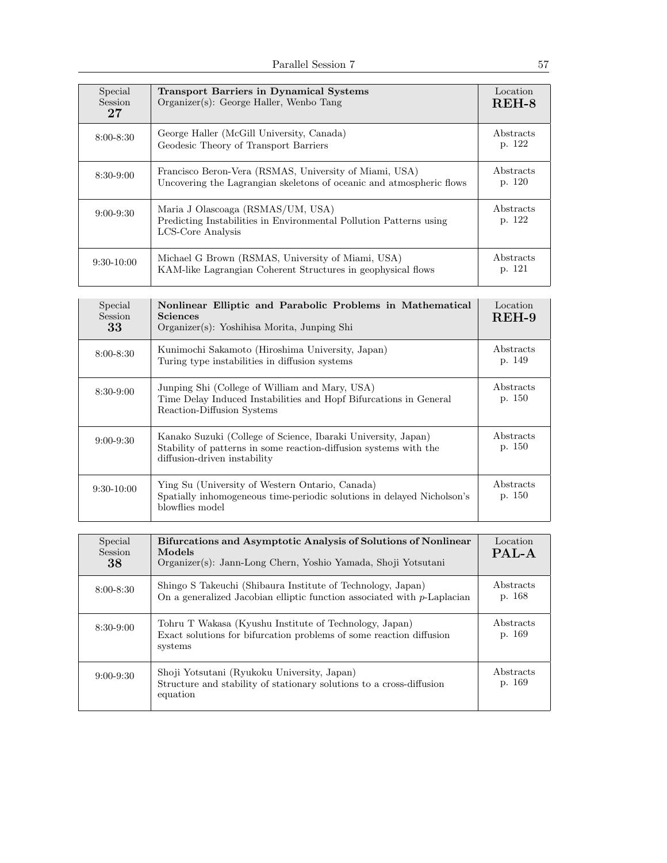| Special<br>Session<br>27 | <b>Transport Barriers in Dynamical Systems</b><br>Organizer(s): George Haller, Wenbo Tang                                      | Location<br>$REH-8$ |
|--------------------------|--------------------------------------------------------------------------------------------------------------------------------|---------------------|
| $8:00 - 8:30$            | George Haller (McGill University, Canada)<br>Geodesic Theory of Transport Barriers                                             | Abstracts<br>p. 122 |
| $8:30-9:00$              | Francisco Beron-Vera (RSMAS, University of Miami, USA)<br>Uncovering the Lagrangian skeletons of oceanic and atmospheric flows | Abstracts<br>p. 120 |
| $9:00 - 9:30$            | Maria J Olascoaga (RSMAS/UM, USA)<br>Predicting Instabilities in Environmental Pollution Patterns using<br>LCS-Core Analysis   | Abstracts<br>p. 122 |
| $9:30-10:00$             | Michael G Brown (RSMAS, University of Miami, USA)<br>KAM-like Lagrangian Coherent Structures in geophysical flows              | Abstracts<br>p. 121 |

| Special<br><b>Session</b><br>33 | Nonlinear Elliptic and Parabolic Problems in Mathematical<br><b>Sciences</b><br>Organizer(s): Yoshihisa Morita, Junping Shi                                        | Location<br>$REH-9$        |
|---------------------------------|--------------------------------------------------------------------------------------------------------------------------------------------------------------------|----------------------------|
| $8:00 - 8:30$                   | Kunimochi Sakamoto (Hiroshima University, Japan)<br>Turing type instabilities in diffusion systems                                                                 | <b>Abstracts</b><br>p. 149 |
| $8:30-9:00$                     | Junping Shi (College of William and Mary, USA)<br>Time Delay Induced Instabilities and Hopf Bifurcations in General<br>Reaction-Diffusion Systems                  | Abstracts<br>p. 150        |
| $9:00 - 9:30$                   | Kanako Suzuki (College of Science, Ibaraki University, Japan)<br>Stability of patterns in some reaction-diffusion systems with the<br>diffusion-driven instability | Abstracts<br>p. 150        |
| $9:30-10:00$                    | Ying Su (University of Western Ontario, Canada)<br>Spatially inhomogeneous time-periodic solutions in delayed Nicholson's<br>blowflies model                       | Abstracts<br>p. 150        |

| Special<br><b>Session</b><br>38 | Bifurcations and Asymptotic Analysis of Solutions of Nonlinear<br>Models<br>Organizer(s): Jann-Long Chern, Yoshio Yamada, Shoji Yotsutani | Location<br>PAL-A   |
|---------------------------------|-------------------------------------------------------------------------------------------------------------------------------------------|---------------------|
| $8:00 - 8:30$                   | Shingo S Takeuchi (Shibaura Institute of Technology, Japan)<br>On a generalized Jacobian elliptic function associated with $p$ -Laplacian | Abstracts<br>p. 168 |
| $8:30-9:00$                     | Tohru T Wakasa (Kyushu Institute of Technology, Japan)<br>Exact solutions for bifurcation problems of some reaction diffusion<br>systems  | Abstracts<br>p. 169 |
| $9:00 - 9:30$                   | Shoji Yotsutani (Ryukoku University, Japan)<br>Structure and stability of stationary solutions to a cross-diffusion<br>equation           | Abstracts<br>p. 169 |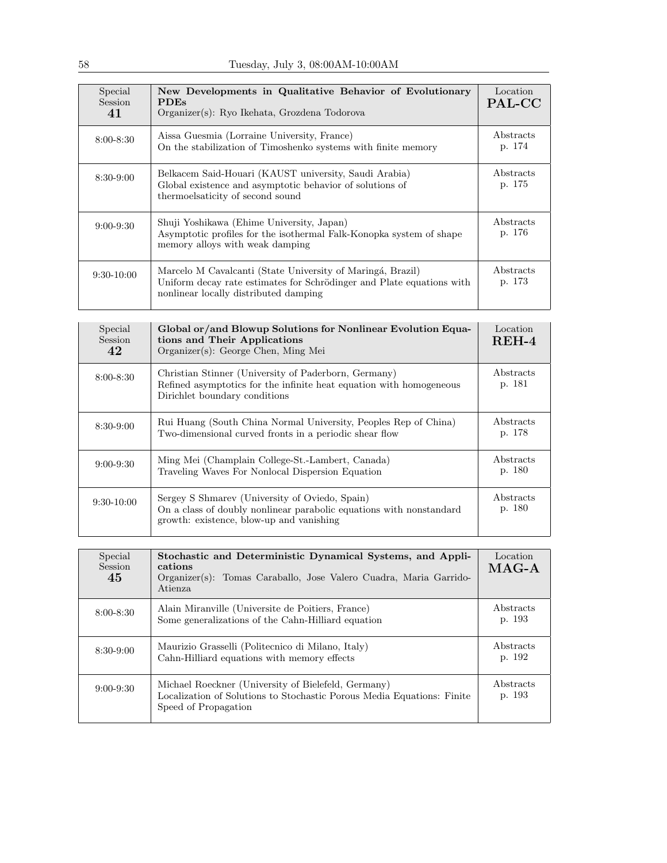| Special<br>Session<br>41 | New Developments in Qualitative Behavior of Evolutionary<br><b>PDEs</b><br>Organizer(s): Ryo Ikehata, Grozdena Todorova                                                      | Location<br>PAL-CC  |
|--------------------------|------------------------------------------------------------------------------------------------------------------------------------------------------------------------------|---------------------|
| $8:00 - 8:30$            | Aissa Guesmia (Lorraine University, France)<br>On the stabilization of Timoshenko systems with finite memory                                                                 | Abstracts<br>p. 174 |
| $8:30-9:00$              | Belkacem Said-Houari (KAUST university, Saudi Arabia)<br>Global existence and asymptotic behavior of solutions of<br>thermoelsaticity of second sound                        | Abstracts<br>p. 175 |
| $9:00 - 9:30$            | Shuji Yoshikawa (Ehime University, Japan)<br>Asymptotic profiles for the isothermal Falk-Konopka system of shape<br>memory alloys with weak damping                          | Abstracts<br>p. 176 |
| $9:30-10:00$             | Marcelo M Cavalcanti (State University of Maringá, Brazil)<br>Uniform decay rate estimates for Schrödinger and Plate equations with<br>nonlinear locally distributed damping | Abstracts<br>p. 173 |

| Special<br>Session<br>42 | Global or/and Blowup Solutions for Nonlinear Evolution Equa-<br>tions and Their Applications<br>Organizer(s): George Chen, Ming Mei                               | Location<br>$REH-4$ |
|--------------------------|-------------------------------------------------------------------------------------------------------------------------------------------------------------------|---------------------|
| $8:00 - 8:30$            | Christian Stinner (University of Paderborn, Germany)<br>Refined asymptotics for the infinite heat equation with homogeneous<br>Dirichlet boundary conditions      | Abstracts<br>p. 181 |
| $8:30-9:00$              | Rui Huang (South China Normal University, Peoples Rep of China)<br>Two-dimensional curved fronts in a periodic shear flow                                         | Abstracts<br>p. 178 |
| $9:00 - 9:30$            | Ming Mei (Champlain College-St.-Lambert, Canada)<br>Traveling Waves For Nonlocal Dispersion Equation                                                              | Abstracts<br>p. 180 |
| $9:30-10:00$             | Sergey S Shmarev (University of Oviedo, Spain)<br>On a class of doubly nonlinear parabolic equations with nonstandard<br>growth: existence, blow-up and vanishing | Abstracts<br>p. 180 |

| Special<br><b>Session</b><br>45 | Stochastic and Deterministic Dynamical Systems, and Appli-<br>cations<br>Organizer(s): Tomas Caraballo, Jose Valero Cuadra, Maria Garrido-<br>Atienza | Location<br>$MAG-A$ |
|---------------------------------|-------------------------------------------------------------------------------------------------------------------------------------------------------|---------------------|
| $8:00 - 8:30$                   | Alain Miranville (Universite de Poitiers, France)<br>Some generalizations of the Cahn-Hilliard equation                                               | Abstracts<br>p. 193 |
| $8:30-9:00$                     | Maurizio Grasselli (Politecnico di Milano, Italy)<br>Cahn-Hilliard equations with memory effects                                                      | Abstracts<br>p. 192 |
| $9:00-9:30$                     | Michael Roeckner (University of Bielefeld, Germany)<br>Localization of Solutions to Stochastic Porous Media Equations: Finite<br>Speed of Propagation | Abstracts<br>p. 193 |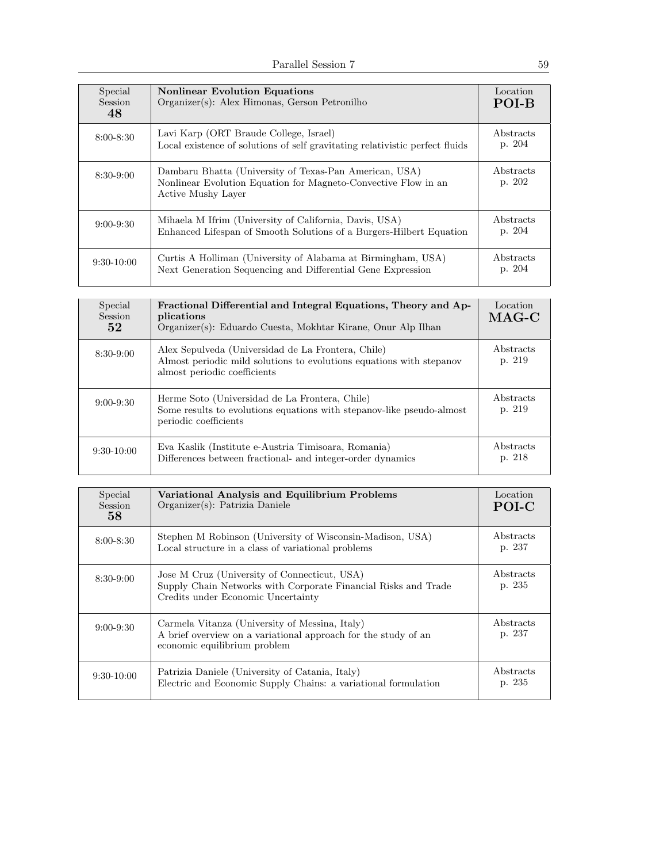| Special<br>Session<br>48 | <b>Nonlinear Evolution Equations</b><br>Organizer(s): Alex Himonas, Gerson Petronilho                                                          | Location<br>POI-B          |
|--------------------------|------------------------------------------------------------------------------------------------------------------------------------------------|----------------------------|
| $8:00 - 8:30$            | Lavi Karp (ORT Braude College, Israel)<br>Local existence of solutions of self gravitating relativistic perfect fluids                         | Abstracts<br>p. 204        |
| $8:30-9:00$              | Dambaru Bhatta (University of Texas-Pan American, USA)<br>Nonlinear Evolution Equation for Magneto-Convective Flow in an<br>Active Mushy Layer | Abstracts<br>p. 202        |
| $9:00 - 9:30$            | Mihaela M Ifrim (University of California, Davis, USA)<br>Enhanced Lifespan of Smooth Solutions of a Burgers-Hilbert Equation                  | Abstracts<br>p. 204        |
| $9:30-10:00$             | Curtis A Holliman (University of Alabama at Birmingham, USA)<br>Next Generation Sequencing and Differential Gene Expression                    | <i>Abstracts</i><br>p. 204 |

| Special<br>Session<br>52 | Fractional Differential and Integral Equations, Theory and Ap-<br>plications<br>Organizer(s): Eduardo Cuesta, Mokhtar Kirane, Onur Alp Ilhan               | Location<br>$MAG-C$ |
|--------------------------|------------------------------------------------------------------------------------------------------------------------------------------------------------|---------------------|
| $8:30-9:00$              | Alex Sepulveda (Universidad de La Frontera, Chile)<br>Almost periodic mild solutions to evolutions equations with stepanov<br>almost periodic coefficients | Abstracts<br>p. 219 |
| $9:00 - 9:30$            | Herme Soto (Universidad de La Frontera, Chile)<br>Some results to evolutions equations with steps above like pseudo-almost<br>periodic coefficients        | Abstracts<br>p. 219 |
| $9:30-10:00$             | Eva Kaslik (Institute e-Austria Timisoara, Romania)<br>Differences between fractional- and integer-order dynamics                                          | Abstracts<br>p. 218 |

| Special<br><b>Session</b><br>58 | Variational Analysis and Equilibrium Problems<br>Organizer(s): Patrizia Daniele                                                                      | Location<br>POI-C   |
|---------------------------------|------------------------------------------------------------------------------------------------------------------------------------------------------|---------------------|
| $8:00 - 8:30$                   | Stephen M Robinson (University of Wisconsin-Madison, USA)<br>Local structure in a class of variational problems                                      | Abstracts<br>p. 237 |
| $8:30-9:00$                     | Jose M Cruz (University of Connecticut, USA)<br>Supply Chain Networks with Corporate Financial Risks and Trade<br>Credits under Economic Uncertainty | Abstracts<br>p. 235 |
| $9:00 - 9:30$                   | Carmela Vitanza (University of Messina, Italy)<br>A brief overview on a variational approach for the study of an<br>economic equilibrium problem     | Abstracts<br>p. 237 |
| $9:30-10:00$                    | Patrizia Daniele (University of Catania, Italy)<br>Electric and Economic Supply Chains: a variational formulation                                    | Abstracts<br>p. 235 |